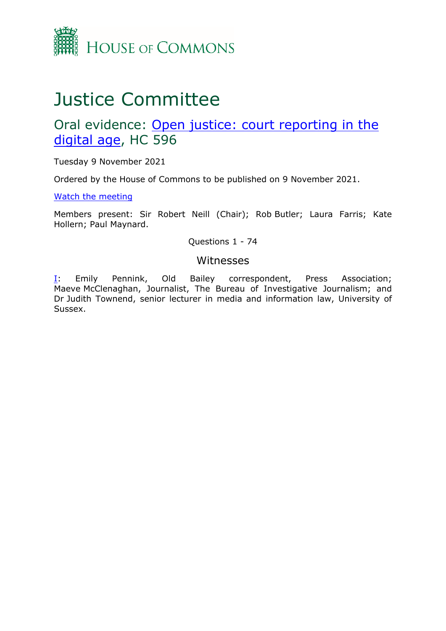

# Justice Committee

# Oral evidence: [Open](https://committees.parliament.uk/work/1505/open-justice-court-reporting-in-the-digital-age/) [justice:](https://committees.parliament.uk/work/1505/open-justice-court-reporting-in-the-digital-age/) [court](https://committees.parliament.uk/work/1505/open-justice-court-reporting-in-the-digital-age/) [reporting](https://committees.parliament.uk/work/1505/open-justice-court-reporting-in-the-digital-age/) [in](https://committees.parliament.uk/work/1505/open-justice-court-reporting-in-the-digital-age/) [the](https://committees.parliament.uk/work/1505/open-justice-court-reporting-in-the-digital-age/) [digital](https://committees.parliament.uk/work/1505/open-justice-court-reporting-in-the-digital-age/) [age,](https://committees.parliament.uk/work/1505/open-justice-court-reporting-in-the-digital-age/) HC 596

Tuesday 9 November 2021

Ordered by the House of Commons to be published on 9 November 2021.

[Watch](https://www.parliamentlive.tv/Event/Index/92ab257a-e3a2-4248-a51d-e5f4ed8c1ef0) [the](https://www.parliamentlive.tv/Event/Index/92ab257a-e3a2-4248-a51d-e5f4ed8c1ef0) [meeting](https://www.parliamentlive.tv/Event/Index/92ab257a-e3a2-4248-a51d-e5f4ed8c1ef0)

Members present: Sir Robert Neill (Chair); Rob Butler; Laura Farris; Kate Hollern; Paul Maynard.

Questions 1 - 74

### Witnesses

[I:](#page-1-0) Emily Pennink, Old Bailey correspondent, Press Association; Maeve McClenaghan, Journalist, The Bureau of Investigative Journalism; and Dr Judith Townend, senior lecturer in media and information law, University of Sussex.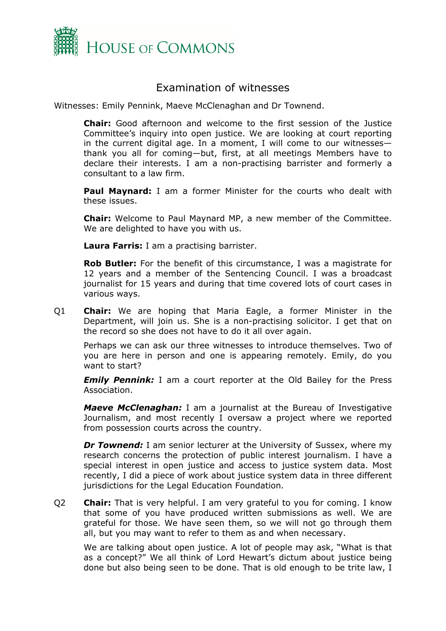

# <span id="page-1-0"></span>Examination of witnesses

Witnesses: Emily Pennink, Maeve McClenaghan and Dr Townend.

**Chair:** Good afternoon and welcome to the first session of the Justice Committee's inquiry into open justice. We are looking at court reporting in the current digital age. In a moment, I will come to our witnesses thank you all for coming—but, first, at all meetings Members have to declare their interests. I am a non-practising barrister and formerly a consultant to a law firm.

**Paul Maynard:** I am a former Minister for the courts who dealt with these issues.

**Chair:** Welcome to Paul Maynard MP, a new member of the Committee. We are delighted to have you with us.

**Laura Farris:** I am a practising barrister.

**Rob Butler:** For the benefit of this circumstance, I was a magistrate for 12 years and a member of the Sentencing Council. I was a broadcast journalist for 15 years and during that time covered lots of court cases in various ways.

Q1 **Chair:** We are hoping that Maria Eagle, a former Minister in the Department, will join us. She is a non-practising solicitor. I get that on the record so she does not have to do it all over again.

Perhaps we can ask our three witnesses to introduce themselves. Two of you are here in person and one is appearing remotely. Emily, do you want to start?

*Emily Pennink:* I am a court reporter at the Old Bailey for the Press Association.

*Maeve McClenaghan:* I am a journalist at the Bureau of Investigative Journalism, and most recently I oversaw a project where we reported from possession courts across the country.

*Dr Townend:* I am senior lecturer at the University of Sussex, where my research concerns the protection of public interest journalism. I have a special interest in open justice and access to justice system data. Most recently, I did a piece of work about justice system data in three different jurisdictions for the Legal Education Foundation.

Q2 **Chair:** That is very helpful. I am very grateful to you for coming. I know that some of you have produced written submissions as well. We are grateful for those. We have seen them, so we will not go through them all, but you may want to refer to them as and when necessary.

We are talking about open justice. A lot of people may ask, "What is that as a concept?" We all think of Lord Hewart's dictum about justice being done but also being seen to be done. That is old enough to be trite law, I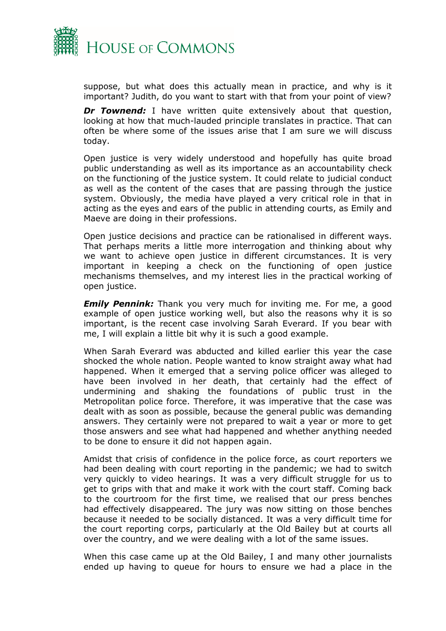

suppose, but what does this actually mean in practice, and why is it important? Judith, do you want to start with that from your point of view?

*Dr Townend:* I have written quite extensively about that question, looking at how that much-lauded principle translates in practice. That can often be where some of the issues arise that I am sure we will discuss today.

Open justice is very widely understood and hopefully has quite broad public understanding as well as its importance as an accountability check on the functioning of the justice system. It could relate to judicial conduct as well as the content of the cases that are passing through the justice system. Obviously, the media have played a very critical role in that in acting as the eyes and ears of the public in attending courts, as Emily and Maeve are doing in their professions.

Open justice decisions and practice can be rationalised in different ways. That perhaps merits a little more interrogation and thinking about why we want to achieve open justice in different circumstances. It is very important in keeping a check on the functioning of open justice mechanisms themselves, and my interest lies in the practical working of open justice.

*Emily Pennink:* Thank you very much for inviting me. For me, a good example of open justice working well, but also the reasons why it is so important, is the recent case involving Sarah Everard. If you bear with me, I will explain a little bit why it is such a good example.

When Sarah Everard was abducted and killed earlier this year the case shocked the whole nation. People wanted to know straight away what had happened. When it emerged that a serving police officer was alleged to have been involved in her death, that certainly had the effect of undermining and shaking the foundations of public trust in the Metropolitan police force. Therefore, it was imperative that the case was dealt with as soon as possible, because the general public was demanding answers. They certainly were not prepared to wait a year or more to get those answers and see what had happened and whether anything needed to be done to ensure it did not happen again.

Amidst that crisis of confidence in the police force, as court reporters we had been dealing with court reporting in the pandemic; we had to switch very quickly to video hearings. It was a very difficult struggle for us to get to grips with that and make it work with the court staff. Coming back to the courtroom for the first time, we realised that our press benches had effectively disappeared. The jury was now sitting on those benches because it needed to be socially distanced. It was a very difficult time for the court reporting corps, particularly at the Old Bailey but at courts all over the country, and we were dealing with a lot of the same issues.

When this case came up at the Old Bailey, I and many other journalists ended up having to queue for hours to ensure we had a place in the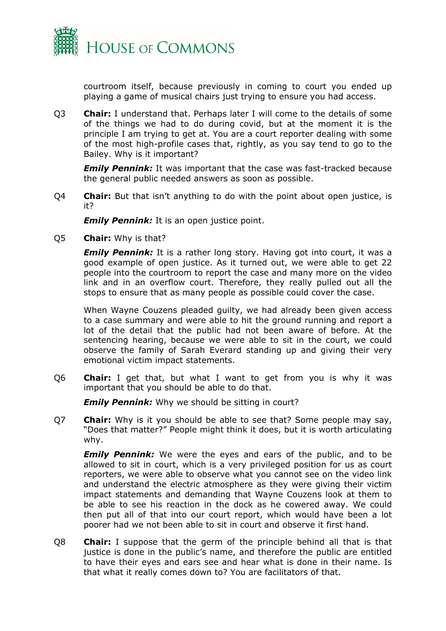

courtroom itself, because previously in coming to court you ended up playing a game of musical chairs just trying to ensure you had access.

Q3 **Chair:** I understand that. Perhaps later I will come to the details of some of the things we had to do during covid, but at the moment it is the principle I am trying to get at. You are a court reporter dealing with some of the most high-profile cases that, rightly, as you say tend to go to the Bailey. Why is it important?

*Emily Pennink:* It was important that the case was fast-tracked because the general public needed answers as soon as possible.

Q4 **Chair:** But that isn't anything to do with the point about open justice, is it?

*Emily Pennink:* It is an open justice point.

Q5 **Chair:** Why is that?

*Emily Pennink:* It is a rather long story. Having got into court, it was a good example of open justice. As it turned out, we were able to get 22 people into the courtroom to report the case and many more on the video link and in an overflow court. Therefore, they really pulled out all the stops to ensure that as many people as possible could cover the case.

When Wayne Couzens pleaded guilty, we had already been given access to a case summary and were able to hit the ground running and report a lot of the detail that the public had not been aware of before. At the sentencing hearing, because we were able to sit in the court, we could observe the family of Sarah Everard standing up and giving their very emotional victim impact statements.

Q6 **Chair:** I get that, but what I want to get from you is why it was important that you should be able to do that.

*Emily Pennink:* Why we should be sitting in court?

Q7 **Chair:** Why is it you should be able to see that? Some people may say, "Does that matter?" People might think it does, but it is worth articulating why.

*Emily Pennink:* We were the eyes and ears of the public, and to be allowed to sit in court, which is a very privileged position for us as court reporters, we were able to observe what you cannot see on the video link and understand the electric atmosphere as they were giving their victim impact statements and demanding that Wayne Couzens look at them to be able to see his reaction in the dock as he cowered away. We could then put all of that into our court report, which would have been a lot poorer had we not been able to sit in court and observe it first hand.

Q8 **Chair:** I suppose that the germ of the principle behind all that is that justice is done in the public's name, and therefore the public are entitled to have their eyes and ears see and hear what is done in their name. Is that what it really comes down to? You are facilitators of that.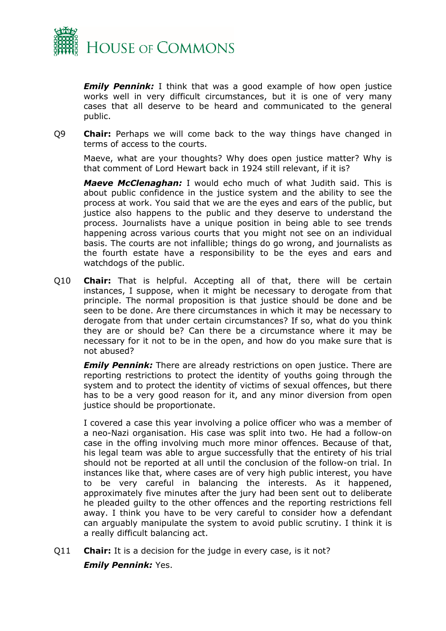

*Emily Pennink:* I think that was a good example of how open justice works well in very difficult circumstances, but it is one of very many cases that all deserve to be heard and communicated to the general public.

Q9 **Chair:** Perhaps we will come back to the way things have changed in terms of access to the courts.

Maeve, what are your thoughts? Why does open justice matter? Why is that comment of Lord Hewart back in 1924 still relevant, if it is?

*Maeve McClenaghan:* I would echo much of what Judith said. This is about public confidence in the justice system and the ability to see the process at work. You said that we are the eyes and ears of the public, but justice also happens to the public and they deserve to understand the process. Journalists have a unique position in being able to see trends happening across various courts that you might not see on an individual basis. The courts are not infallible; things do go wrong, and journalists as the fourth estate have a responsibility to be the eyes and ears and watchdogs of the public.

Q10 **Chair:** That is helpful. Accepting all of that, there will be certain instances, I suppose, when it might be necessary to derogate from that principle. The normal proposition is that justice should be done and be seen to be done. Are there circumstances in which it may be necessary to derogate from that under certain circumstances? If so, what do you think they are or should be? Can there be a circumstance where it may be necessary for it not to be in the open, and how do you make sure that is not abused?

*Emily Pennink:* There are already restrictions on open justice. There are reporting restrictions to protect the identity of youths going through the system and to protect the identity of victims of sexual offences, but there has to be a very good reason for it, and any minor diversion from open justice should be proportionate.

I covered a case this year involving a police officer who was a member of a neo-Nazi organisation. His case was split into two. He had a follow-on case in the offing involving much more minor offences. Because of that, his legal team was able to argue successfully that the entirety of his trial should not be reported at all until the conclusion of the follow-on trial. In instances like that, where cases are of very high public interest, you have to be very careful in balancing the interests. As it happened, approximately five minutes after the jury had been sent out to deliberate he pleaded guilty to the other offences and the reporting restrictions fell away. I think you have to be very careful to consider how a defendant can arguably manipulate the system to avoid public scrutiny. I think it is a really difficult balancing act.

Q11 **Chair:** It is a decision for the judge in every case, is it not? *Emily Pennink:* Yes.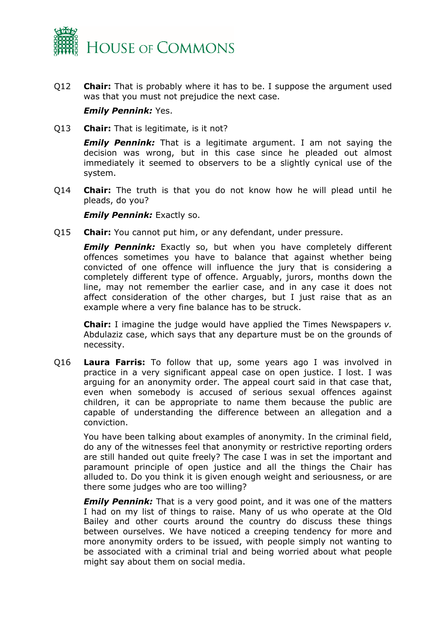

Q12 **Chair:** That is probably where it has to be. I suppose the argument used was that you must not prejudice the next case.

#### *Emily Pennink:* Yes.

Q13 **Chair:** That is legitimate, is it not?

*Emily Pennink:* That is a legitimate argument. I am not saying the decision was wrong, but in this case since he pleaded out almost immediately it seemed to observers to be a slightly cynical use of the system.

Q14 **Chair:** The truth is that you do not know how he will plead until he pleads, do you?

*Emily Pennink: Exactly so.* 

Q15 **Chair:** You cannot put him, or any defendant, under pressure.

**Emily Pennink:** Exactly so, but when you have completely different offences sometimes you have to balance that against whether being convicted of one offence will influence the jury that is considering a completely different type of offence. Arguably, jurors, months down the line, may not remember the earlier case, and in any case it does not affect consideration of the other charges, but I just raise that as an example where a very fine balance has to be struck.

**Chair:** I imagine the judge would have applied the Times Newspapers *v.* Abdulaziz case, which says that any departure must be on the grounds of necessity.

Q16 **Laura Farris:** To follow that up, some years ago I was involved in practice in a very significant appeal case on open justice. I lost. I was arguing for an anonymity order. The appeal court said in that case that, even when somebody is accused of serious sexual offences against children, it can be appropriate to name them because the public are capable of understanding the difference between an allegation and a conviction.

You have been talking about examples of anonymity. In the criminal field, do any of the witnesses feel that anonymity or restrictive reporting orders are still handed out quite freely? The case I was in set the important and paramount principle of open justice and all the things the Chair has alluded to. Do you think it is given enough weight and seriousness, or are there some judges who are too willing?

*Emily Pennink:* That is a very good point, and it was one of the matters I had on my list of things to raise. Many of us who operate at the Old Bailey and other courts around the country do discuss these things between ourselves. We have noticed a creeping tendency for more and more anonymity orders to be issued, with people simply not wanting to be associated with a criminal trial and being worried about what people might say about them on social media.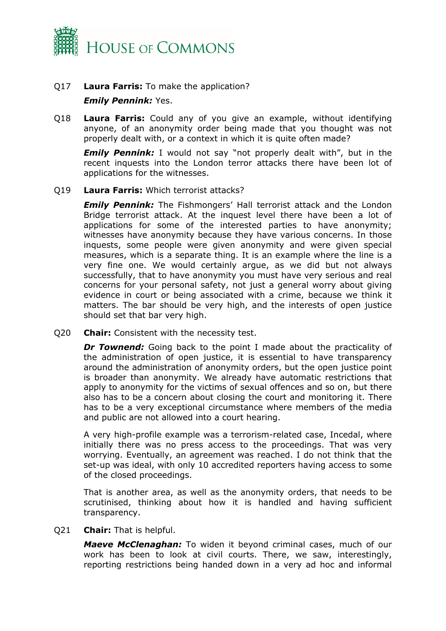

# Q17 **Laura Farris:** To make the application? *Emily Pennink:* Yes.

Q18 **Laura Farris:** Could any of you give an example, without identifying anyone, of an anonymity order being made that you thought was not properly dealt with, or a context in which it is quite often made?

*Emily Pennink:* I would not say "not properly dealt with", but in the recent inquests into the London terror attacks there have been lot of applications for the witnesses.

#### Q19 **Laura Farris:** Which terrorist attacks?

*Emily Pennink:* The Fishmongers' Hall terrorist attack and the London Bridge terrorist attack. At the inquest level there have been a lot of applications for some of the interested parties to have anonymity; witnesses have anonymity because they have various concerns. In those inquests, some people were given anonymity and were given special measures, which is a separate thing. It is an example where the line is a very fine one. We would certainly argue, as we did but not always successfully, that to have anonymity you must have very serious and real concerns for your personal safety, not just a general worry about giving evidence in court or being associated with a crime, because we think it matters. The bar should be very high, and the interests of open justice should set that bar very high.

Q20 **Chair:** Consistent with the necessity test.

*Dr Townend:* Going back to the point I made about the practicality of the administration of open justice, it is essential to have transparency around the administration of anonymity orders, but the open justice point is broader than anonymity. We already have automatic restrictions that apply to anonymity for the victims of sexual offences and so on, but there also has to be a concern about closing the court and monitoring it. There has to be a very exceptional circumstance where members of the media and public are not allowed into a court hearing.

A very high-profile example was a terrorism-related case, Incedal, where initially there was no press access to the proceedings. That was very worrying. Eventually, an agreement was reached. I do not think that the set-up was ideal, with only 10 accredited reporters having access to some of the closed proceedings.

That is another area, as well as the anonymity orders, that needs to be scrutinised, thinking about how it is handled and having sufficient transparency.

#### Q21 **Chair:** That is helpful.

*Maeve McClenaghan:* To widen it beyond criminal cases, much of our work has been to look at civil courts. There, we saw, interestingly, reporting restrictions being handed down in a very ad hoc and informal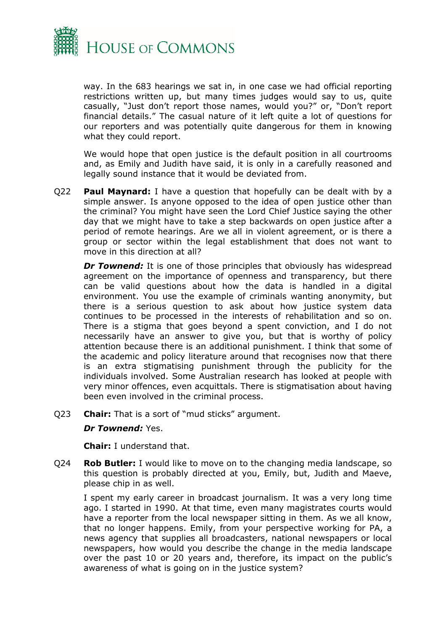

way. In the 683 hearings we sat in, in one case we had official reporting restrictions written up, but many times judges would say to us, quite casually, "Just don't report those names, would you?" or, "Don't report financial details." The casual nature of it left quite a lot of questions for our reporters and was potentially quite dangerous for them in knowing what they could report.

We would hope that open justice is the default position in all courtrooms and, as Emily and Judith have said, it is only in a carefully reasoned and legally sound instance that it would be deviated from.

Q22 **Paul Maynard:** I have a question that hopefully can be dealt with by a simple answer. Is anyone opposed to the idea of open justice other than the criminal? You might have seen the Lord Chief Justice saying the other day that we might have to take a step backwards on open justice after a period of remote hearings. Are we all in violent agreement, or is there a group or sector within the legal establishment that does not want to move in this direction at all?

**Dr Townend:** It is one of those principles that obviously has widespread agreement on the importance of openness and transparency, but there can be valid questions about how the data is handled in a digital environment. You use the example of criminals wanting anonymity, but there is a serious question to ask about how justice system data continues to be processed in the interests of rehabilitation and so on. There is a stigma that goes beyond a spent conviction, and I do not necessarily have an answer to give you, but that is worthy of policy attention because there is an additional punishment. I think that some of the academic and policy literature around that recognises now that there is an extra stigmatising punishment through the publicity for the individuals involved. Some Australian research has looked at people with very minor offences, even acquittals. There is stigmatisation about having been even involved in the criminal process.

Q23 **Chair:** That is a sort of "mud sticks" argument.

#### *Dr Townend:* Yes.

**Chair:** I understand that.

Q24 **Rob Butler:** I would like to move on to the changing media landscape, so this question is probably directed at you, Emily, but, Judith and Maeve, please chip in as well.

I spent my early career in broadcast journalism. It was a very long time ago. I started in 1990. At that time, even many magistrates courts would have a reporter from the local newspaper sitting in them. As we all know, that no longer happens. Emily, from your perspective working for PA, a news agency that supplies all broadcasters, national newspapers or local newspapers, how would you describe the change in the media landscape over the past 10 or 20 years and, therefore, its impact on the public's awareness of what is going on in the justice system?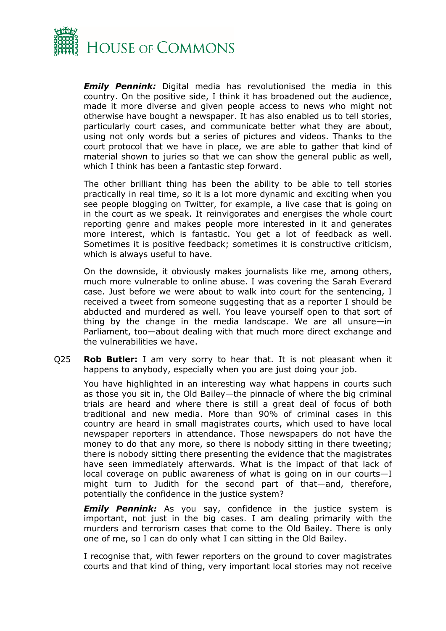

*Emily Pennink:* Digital media has revolutionised the media in this country. On the positive side, I think it has broadened out the audience, made it more diverse and given people access to news who might not otherwise have bought a newspaper. It has also enabled us to tell stories, particularly court cases, and communicate better what they are about, using not only words but a series of pictures and videos. Thanks to the court protocol that we have in place, we are able to gather that kind of material shown to juries so that we can show the general public as well, which I think has been a fantastic step forward.

The other brilliant thing has been the ability to be able to tell stories practically in real time, so it is a lot more dynamic and exciting when you see people blogging on Twitter, for example, a live case that is going on in the court as we speak. It reinvigorates and energises the whole court reporting genre and makes people more interested in it and generates more interest, which is fantastic. You get a lot of feedback as well. Sometimes it is positive feedback; sometimes it is constructive criticism, which is always useful to have.

On the downside, it obviously makes journalists like me, among others, much more vulnerable to online abuse. I was covering the Sarah Everard case. Just before we were about to walk into court for the sentencing, I received a tweet from someone suggesting that as a reporter I should be abducted and murdered as well. You leave yourself open to that sort of thing by the change in the media landscape. We are all unsure—in Parliament, too—about dealing with that much more direct exchange and the vulnerabilities we have.

Q25 **Rob Butler:** I am very sorry to hear that. It is not pleasant when it happens to anybody, especially when you are just doing your job.

You have highlighted in an interesting way what happens in courts such as those you sit in, the Old Bailey—the pinnacle of where the big criminal trials are heard and where there is still a great deal of focus of both traditional and new media. More than 90% of criminal cases in this country are heard in small magistrates courts, which used to have local newspaper reporters in attendance. Those newspapers do not have the money to do that any more, so there is nobody sitting in there tweeting; there is nobody sitting there presenting the evidence that the magistrates have seen immediately afterwards. What is the impact of that lack of local coverage on public awareness of what is going on in our courts—I might turn to Judith for the second part of that—and, therefore, potentially the confidence in the justice system?

**Emily Pennink:** As you say, confidence in the justice system is important, not just in the big cases. I am dealing primarily with the murders and terrorism cases that come to the Old Bailey. There is only one of me, so I can do only what I can sitting in the Old Bailey.

I recognise that, with fewer reporters on the ground to cover magistrates courts and that kind of thing, very important local stories may not receive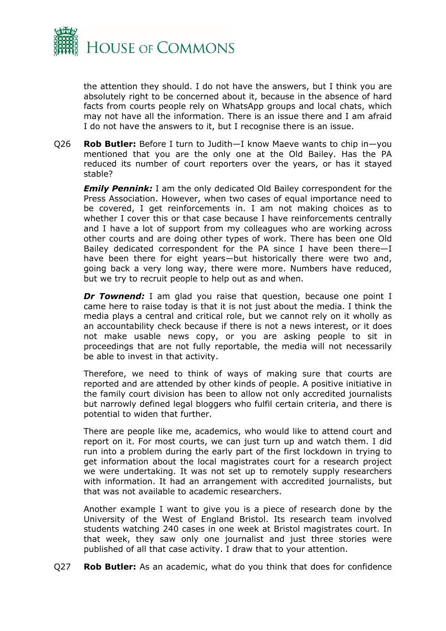

the attention they should. I do not have the answers, but I think you are absolutely right to be concerned about it, because in the absence of hard facts from courts people rely on WhatsApp groups and local chats, which may not have all the information. There is an issue there and I am afraid I do not have the answers to it, but I recognise there is an issue.

Q26 **Rob Butler:** Before I turn to Judith—I know Maeve wants to chip in—you mentioned that you are the only one at the Old Bailey. Has the PA reduced its number of court reporters over the years, or has it stayed stable?

*Emily Pennink:* I am the only dedicated Old Bailey correspondent for the Press Association. However, when two cases of equal importance need to be covered, I get reinforcements in. I am not making choices as to whether I cover this or that case because I have reinforcements centrally and I have a lot of support from my colleagues who are working across other courts and are doing other types of work. There has been one Old Bailey dedicated correspondent for the PA since I have been there—I have been there for eight years—but historically there were two and, going back a very long way, there were more. Numbers have reduced, but we try to recruit people to help out as and when.

*Dr Townend:* I am glad you raise that question, because one point I came here to raise today is that it is not just about the media. I think the media plays a central and critical role, but we cannot rely on it wholly as an accountability check because if there is not a news interest, or it does not make usable news copy, or you are asking people to sit in proceedings that are not fully reportable, the media will not necessarily be able to invest in that activity.

Therefore, we need to think of ways of making sure that courts are reported and are attended by other kinds of people. A positive initiative in the family court division has been to allow not only accredited journalists but narrowly defined legal bloggers who fulfil certain criteria, and there is potential to widen that further.

There are people like me, academics, who would like to attend court and report on it. For most courts, we can just turn up and watch them. I did run into a problem during the early part of the first lockdown in trying to get information about the local magistrates court for a research project we were undertaking. It was not set up to remotely supply researchers with information. It had an arrangement with accredited journalists, but that was not available to academic researchers.

Another example I want to give you is a piece of research done by the University of the West of England Bristol. Its research team involved students watching 240 cases in one week at Bristol magistrates court. In that week, they saw only one journalist and just three stories were published of all that case activity. I draw that to your attention.

Q27 **Rob Butler:** As an academic, what do you think that does for confidence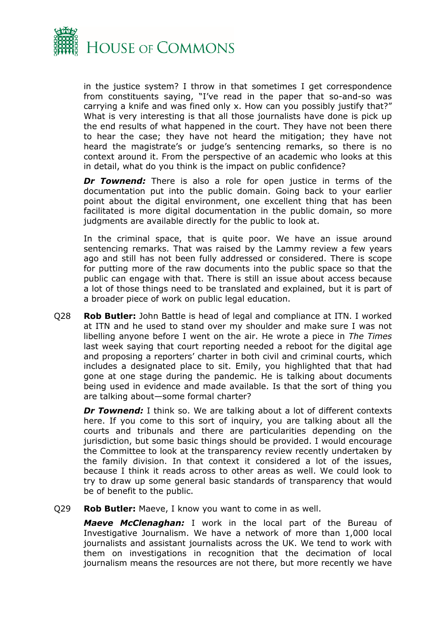

in the justice system? I throw in that sometimes I get correspondence from constituents saying, "I've read in the paper that so-and-so was carrying a knife and was fined only x. How can you possibly justify that?" What is very interesting is that all those journalists have done is pick up the end results of what happened in the court. They have not been there to hear the case; they have not heard the mitigation; they have not heard the magistrate's or judge's sentencing remarks, so there is no context around it. From the perspective of an academic who looks at this in detail, what do you think is the impact on public confidence?

**Dr Townend:** There is also a role for open justice in terms of the documentation put into the public domain. Going back to your earlier point about the digital environment, one excellent thing that has been facilitated is more digital documentation in the public domain, so more judgments are available directly for the public to look at.

In the criminal space, that is quite poor. We have an issue around sentencing remarks. That was raised by the Lammy review a few years ago and still has not been fully addressed or considered. There is scope for putting more of the raw documents into the public space so that the public can engage with that. There is still an issue about access because a lot of those things need to be translated and explained, but it is part of a broader piece of work on public legal education.

Q28 **Rob Butler:** John Battle is head of legal and compliance at ITN. I worked at ITN and he used to stand over my shoulder and make sure I was not libelling anyone before I went on the air. He wrote a piece in *The Times* last week saying that court reporting needed a reboot for the digital age and proposing a reporters' charter in both civil and criminal courts, which includes a designated place to sit. Emily, you highlighted that that had gone at one stage during the pandemic. He is talking about documents being used in evidence and made available. Is that the sort of thing you are talking about—some formal charter?

*Dr Townend:* I think so. We are talking about a lot of different contexts here. If you come to this sort of inquiry, you are talking about all the courts and tribunals and there are particularities depending on the jurisdiction, but some basic things should be provided. I would encourage the Committee to look at the transparency review recently undertaken by the family division. In that context it considered a lot of the issues, because I think it reads across to other areas as well. We could look to try to draw up some general basic standards of transparency that would be of benefit to the public.

Q29 **Rob Butler:** Maeve, I know you want to come in as well.

*Maeve McClenaghan:* I work in the local part of the Bureau of Investigative Journalism. We have a network of more than 1,000 local journalists and assistant journalists across the UK. We tend to work with them on investigations in recognition that the decimation of local journalism means the resources are not there, but more recently we have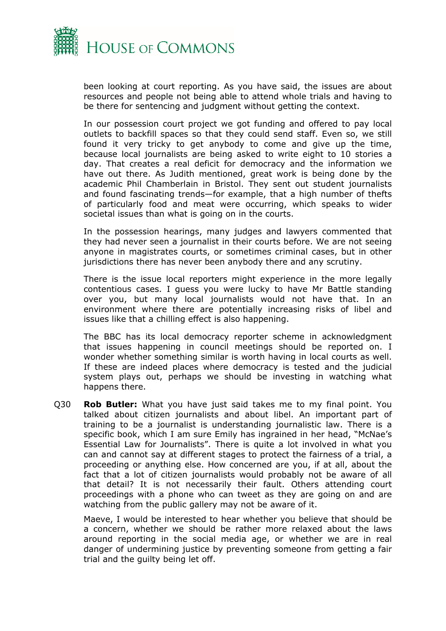

been looking at court reporting. As you have said, the issues are about resources and people not being able to attend whole trials and having to be there for sentencing and judgment without getting the context.

In our possession court project we got funding and offered to pay local outlets to backfill spaces so that they could send staff. Even so, we still found it very tricky to get anybody to come and give up the time, because local journalists are being asked to write eight to 10 stories a day. That creates a real deficit for democracy and the information we have out there. As Judith mentioned, great work is being done by the academic Phil Chamberlain in Bristol. They sent out student journalists and found fascinating trends—for example, that a high number of thefts of particularly food and meat were occurring, which speaks to wider societal issues than what is going on in the courts.

In the possession hearings, many judges and lawyers commented that they had never seen a journalist in their courts before. We are not seeing anyone in magistrates courts, or sometimes criminal cases, but in other jurisdictions there has never been anybody there and any scrutiny.

There is the issue local reporters might experience in the more legally contentious cases. I guess you were lucky to have Mr Battle standing over you, but many local journalists would not have that. In an environment where there are potentially increasing risks of libel and issues like that a chilling effect is also happening.

The BBC has its local democracy reporter scheme in acknowledgment that issues happening in council meetings should be reported on. I wonder whether something similar is worth having in local courts as well. If these are indeed places where democracy is tested and the judicial system plays out, perhaps we should be investing in watching what happens there.

Q30 **Rob Butler:** What you have just said takes me to my final point. You talked about citizen journalists and about libel. An important part of training to be a journalist is understanding journalistic law. There is a specific book, which I am sure Emily has ingrained in her head, "McNae's Essential Law for Journalists". There is quite a lot involved in what you can and cannot say at different stages to protect the fairness of a trial, a proceeding or anything else. How concerned are you, if at all, about the fact that a lot of citizen journalists would probably not be aware of all that detail? It is not necessarily their fault. Others attending court proceedings with a phone who can tweet as they are going on and are watching from the public gallery may not be aware of it.

Maeve, I would be interested to hear whether you believe that should be a concern, whether we should be rather more relaxed about the laws around reporting in the social media age, or whether we are in real danger of undermining justice by preventing someone from getting a fair trial and the guilty being let off.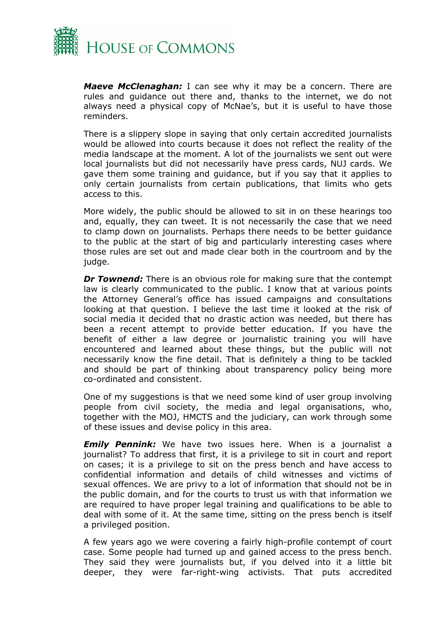

*Maeve McClenaghan:* I can see why it may be a concern. There are rules and guidance out there and, thanks to the internet, we do not always need a physical copy of McNae's, but it is useful to have those reminders.

There is a slippery slope in saying that only certain accredited journalists would be allowed into courts because it does not reflect the reality of the media landscape at the moment. A lot of the journalists we sent out were local journalists but did not necessarily have press cards, NUJ cards. We gave them some training and guidance, but if you say that it applies to only certain journalists from certain publications, that limits who gets access to this.

More widely, the public should be allowed to sit in on these hearings too and, equally, they can tweet. It is not necessarily the case that we need to clamp down on journalists. Perhaps there needs to be better guidance to the public at the start of big and particularly interesting cases where those rules are set out and made clear both in the courtroom and by the judge.

*Dr Townend:* There is an obvious role for making sure that the contempt law is clearly communicated to the public. I know that at various points the Attorney General's office has issued campaigns and consultations looking at that question. I believe the last time it looked at the risk of social media it decided that no drastic action was needed, but there has been a recent attempt to provide better education. If you have the benefit of either a law degree or journalistic training you will have encountered and learned about these things, but the public will not necessarily know the fine detail. That is definitely a thing to be tackled and should be part of thinking about transparency policy being more co-ordinated and consistent.

One of my suggestions is that we need some kind of user group involving people from civil society, the media and legal organisations, who, together with the MOJ, HMCTS and the judiciary, can work through some of these issues and devise policy in this area.

*Emily Pennink:* We have two issues here. When is a journalist a journalist? To address that first, it is a privilege to sit in court and report on cases; it is a privilege to sit on the press bench and have access to confidential information and details of child witnesses and victims of sexual offences. We are privy to a lot of information that should not be in the public domain, and for the courts to trust us with that information we are required to have proper legal training and qualifications to be able to deal with some of it. At the same time, sitting on the press bench is itself a privileged position.

A few years ago we were covering a fairly high-profile contempt of court case. Some people had turned up and gained access to the press bench. They said they were journalists but, if you delved into it a little bit deeper, they were far-right-wing activists. That puts accredited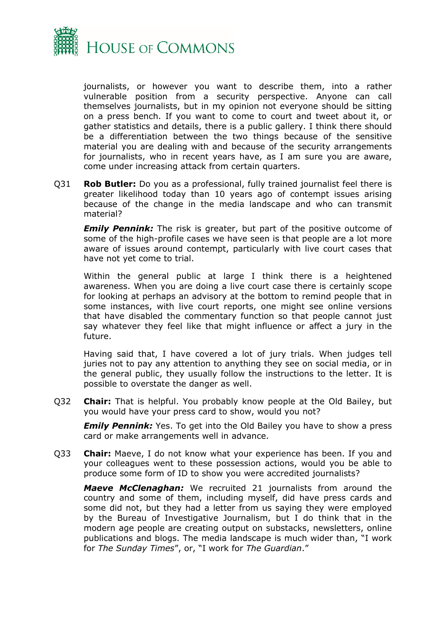

journalists, or however you want to describe them, into a rather vulnerable position from a security perspective. Anyone can call themselves journalists, but in my opinion not everyone should be sitting on a press bench. If you want to come to court and tweet about it, or gather statistics and details, there is a public gallery. I think there should be a differentiation between the two things because of the sensitive material you are dealing with and because of the security arrangements for journalists, who in recent years have, as I am sure you are aware, come under increasing attack from certain quarters.

Q31 **Rob Butler:** Do you as a professional, fully trained journalist feel there is greater likelihood today than 10 years ago of contempt issues arising because of the change in the media landscape and who can transmit material?

*Emily Pennink:* The risk is greater, but part of the positive outcome of some of the high-profile cases we have seen is that people are a lot more aware of issues around contempt, particularly with live court cases that have not yet come to trial.

Within the general public at large I think there is a heightened awareness. When you are doing a live court case there is certainly scope for looking at perhaps an advisory at the bottom to remind people that in some instances, with live court reports, one might see online versions that have disabled the commentary function so that people cannot just say whatever they feel like that might influence or affect a jury in the future.

Having said that, I have covered a lot of jury trials. When judges tell juries not to pay any attention to anything they see on social media, or in the general public, they usually follow the instructions to the letter. It is possible to overstate the danger as well.

Q32 **Chair:** That is helpful. You probably know people at the Old Bailey, but you would have your press card to show, would you not?

*Emily Pennink:* Yes. To get into the Old Bailey you have to show a press card or make arrangements well in advance.

Q33 **Chair:** Maeve, I do not know what your experience has been. If you and your colleagues went to these possession actions, would you be able to produce some form of ID to show you were accredited journalists?

*Maeve McClenaghan:* We recruited 21 journalists from around the country and some of them, including myself, did have press cards and some did not, but they had a letter from us saying they were employed by the Bureau of Investigative Journalism, but I do think that in the modern age people are creating output on substacks, newsletters, online publications and blogs. The media landscape is much wider than, "I work for *The Sunday Times*", or, "I work for *The Guardian*."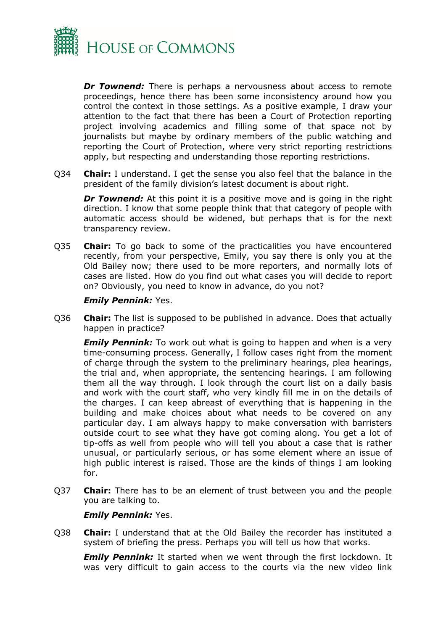

*Dr Townend:* There is perhaps a nervousness about access to remote proceedings, hence there has been some inconsistency around how you control the context in those settings. As a positive example, I draw your attention to the fact that there has been a Court of Protection reporting project involving academics and filling some of that space not by journalists but maybe by ordinary members of the public watching and reporting the Court of Protection, where very strict reporting restrictions apply, but respecting and understanding those reporting restrictions.

Q34 **Chair:** I understand. I get the sense you also feel that the balance in the president of the family division's latest document is about right.

**Dr Townend:** At this point it is a positive move and is going in the right direction. I know that some people think that that category of people with automatic access should be widened, but perhaps that is for the next transparency review.

Q35 **Chair:** To go back to some of the practicalities you have encountered recently, from your perspective, Emily, you say there is only you at the Old Bailey now; there used to be more reporters, and normally lots of cases are listed. How do you find out what cases you will decide to report on? Obviously, you need to know in advance, do you not?

#### *Emily Pennink:* Yes.

Q36 **Chair:** The list is supposed to be published in advance. Does that actually happen in practice?

*Emily Pennink:* To work out what is going to happen and when is a very time-consuming process. Generally, I follow cases right from the moment of charge through the system to the preliminary hearings, plea hearings, the trial and, when appropriate, the sentencing hearings. I am following them all the way through. I look through the court list on a daily basis and work with the court staff, who very kindly fill me in on the details of the charges. I can keep abreast of everything that is happening in the building and make choices about what needs to be covered on any particular day. I am always happy to make conversation with barristers outside court to see what they have got coming along. You get a lot of tip-offs as well from people who will tell you about a case that is rather unusual, or particularly serious, or has some element where an issue of high public interest is raised. Those are the kinds of things I am looking for.

Q37 **Chair:** There has to be an element of trust between you and the people you are talking to.

#### *Emily Pennink:* Yes.

Q38 **Chair:** I understand that at the Old Bailey the recorder has instituted a system of briefing the press. Perhaps you will tell us how that works.

*Emily Pennink:* It started when we went through the first lockdown. It was very difficult to gain access to the courts via the new video link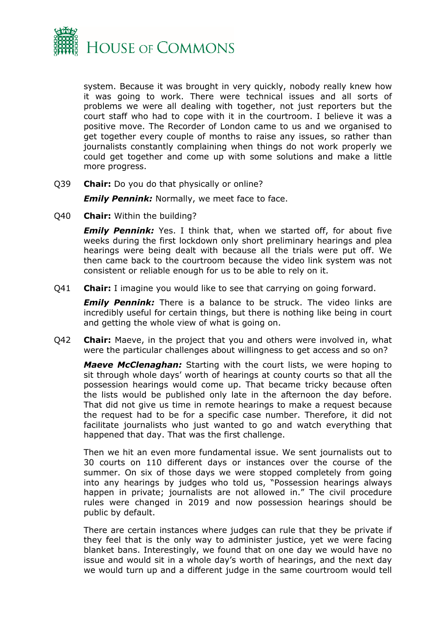

system. Because it was brought in very quickly, nobody really knew how it was going to work. There were technical issues and all sorts of problems we were all dealing with together, not just reporters but the court staff who had to cope with it in the courtroom. I believe it was a positive move. The Recorder of London came to us and we organised to get together every couple of months to raise any issues, so rather than journalists constantly complaining when things do not work properly we could get together and come up with some solutions and make a little more progress.

Q39 **Chair:** Do you do that physically or online?

*Emily Pennink: Normally, we meet face to face.* 

Q40 **Chair:** Within the building?

**Emily Pennink:** Yes. I think that, when we started off, for about five weeks during the first lockdown only short preliminary hearings and plea hearings were being dealt with because all the trials were put off. We then came back to the courtroom because the video link system was not consistent or reliable enough for us to be able to rely on it.

Q41 **Chair:** I imagine you would like to see that carrying on going forward.

**Emily Pennink:** There is a balance to be struck. The video links are incredibly useful for certain things, but there is nothing like being in court and getting the whole view of what is going on.

Q42 **Chair:** Maeve, in the project that you and others were involved in, what were the particular challenges about willingness to get access and so on?

*Maeve McClenaghan:* Starting with the court lists, we were hoping to sit through whole days' worth of hearings at county courts so that all the possession hearings would come up. That became tricky because often the lists would be published only late in the afternoon the day before. That did not give us time in remote hearings to make a request because the request had to be for a specific case number. Therefore, it did not facilitate journalists who just wanted to go and watch everything that happened that day. That was the first challenge.

Then we hit an even more fundamental issue. We sent journalists out to 30 courts on 110 different days or instances over the course of the summer. On six of those days we were stopped completely from going into any hearings by judges who told us, "Possession hearings always happen in private; journalists are not allowed in." The civil procedure rules were changed in 2019 and now possession hearings should be public by default.

There are certain instances where judges can rule that they be private if they feel that is the only way to administer justice, yet we were facing blanket bans. Interestingly, we found that on one day we would have no issue and would sit in a whole day's worth of hearings, and the next day we would turn up and a different judge in the same courtroom would tell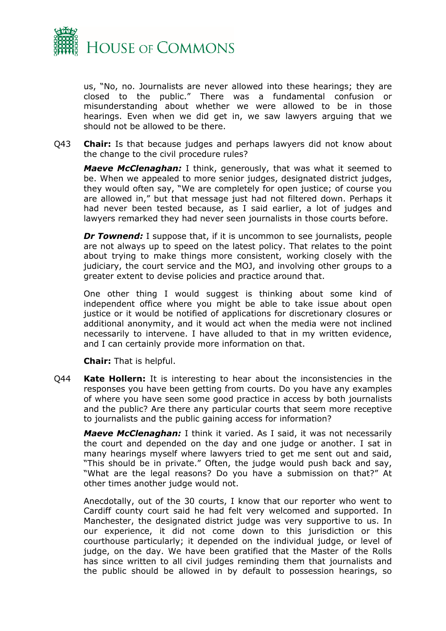

us, "No, no. Journalists are never allowed into these hearings; they are closed to the public." There was a fundamental confusion or misunderstanding about whether we were allowed to be in those hearings. Even when we did get in, we saw lawyers arguing that we should not be allowed to be there.

Q43 **Chair:** Is that because judges and perhaps lawyers did not know about the change to the civil procedure rules?

*Maeve McClenaghan:* I think, generously, that was what it seemed to be. When we appealed to more senior judges, designated district judges, they would often say, "We are completely for open justice; of course you are allowed in," but that message just had not filtered down. Perhaps it had never been tested because, as I said earlier, a lot of judges and lawyers remarked they had never seen journalists in those courts before.

*Dr Townend:* I suppose that, if it is uncommon to see journalists, people are not always up to speed on the latest policy. That relates to the point about trying to make things more consistent, working closely with the judiciary, the court service and the MOJ, and involving other groups to a greater extent to devise policies and practice around that.

One other thing I would suggest is thinking about some kind of independent office where you might be able to take issue about open justice or it would be notified of applications for discretionary closures or additional anonymity, and it would act when the media were not inclined necessarily to intervene. I have alluded to that in my written evidence, and I can certainly provide more information on that.

**Chair:** That is helpful.

Q44 **Kate Hollern:** It is interesting to hear about the inconsistencies in the responses you have been getting from courts. Do you have any examples of where you have seen some good practice in access by both journalists and the public? Are there any particular courts that seem more receptive to journalists and the public gaining access for information?

*Maeve McClenaghan:* I think it varied. As I said, it was not necessarily the court and depended on the day and one judge or another. I sat in many hearings myself where lawyers tried to get me sent out and said, "This should be in private." Often, the judge would push back and say, "What are the legal reasons? Do you have a submission on that?" At other times another judge would not.

Anecdotally, out of the 30 courts, I know that our reporter who went to Cardiff county court said he had felt very welcomed and supported. In Manchester, the designated district judge was very supportive to us. In our experience, it did not come down to this jurisdiction or this courthouse particularly; it depended on the individual judge, or level of judge, on the day. We have been gratified that the Master of the Rolls has since written to all civil judges reminding them that journalists and the public should be allowed in by default to possession hearings, so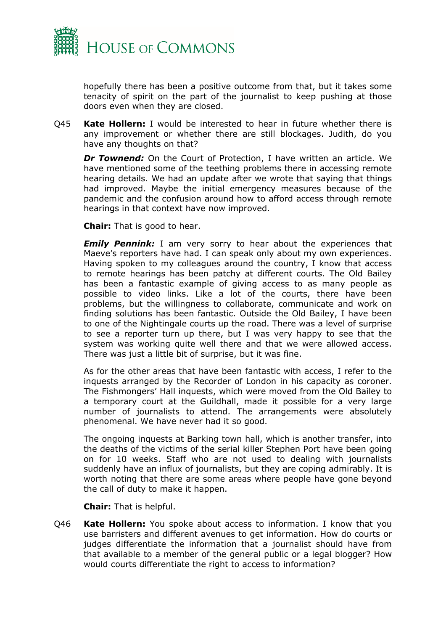

hopefully there has been a positive outcome from that, but it takes some tenacity of spirit on the part of the journalist to keep pushing at those doors even when they are closed.

Q45 **Kate Hollern:** I would be interested to hear in future whether there is any improvement or whether there are still blockages. Judith, do you have any thoughts on that?

*Dr Townend:* On the Court of Protection, I have written an article. We have mentioned some of the teething problems there in accessing remote hearing details. We had an update after we wrote that saying that things had improved. Maybe the initial emergency measures because of the pandemic and the confusion around how to afford access through remote hearings in that context have now improved.

**Chair:** That is good to hear.

**Emily Pennink:** I am very sorry to hear about the experiences that Maeve's reporters have had. I can speak only about my own experiences. Having spoken to my colleagues around the country, I know that access to remote hearings has been patchy at different courts. The Old Bailey has been a fantastic example of giving access to as many people as possible to video links. Like a lot of the courts, there have been problems, but the willingness to collaborate, communicate and work on finding solutions has been fantastic. Outside the Old Bailey, I have been to one of the Nightingale courts up the road. There was a level of surprise to see a reporter turn up there, but I was very happy to see that the system was working quite well there and that we were allowed access. There was just a little bit of surprise, but it was fine.

As for the other areas that have been fantastic with access, I refer to the inquests arranged by the Recorder of London in his capacity as coroner. The Fishmongers' Hall inquests, which were moved from the Old Bailey to a temporary court at the Guildhall, made it possible for a very large number of journalists to attend. The arrangements were absolutely phenomenal. We have never had it so good.

The ongoing inquests at Barking town hall, which is another transfer, into the deaths of the victims of the serial killer Stephen Port have been going on for 10 weeks. Staff who are not used to dealing with journalists suddenly have an influx of journalists, but they are coping admirably. It is worth noting that there are some areas where people have gone beyond the call of duty to make it happen.

**Chair:** That is helpful.

Q46 **Kate Hollern:** You spoke about access to information. I know that you use barristers and different avenues to get information. How do courts or judges differentiate the information that a journalist should have from that available to a member of the general public or a legal blogger? How would courts differentiate the right to access to information?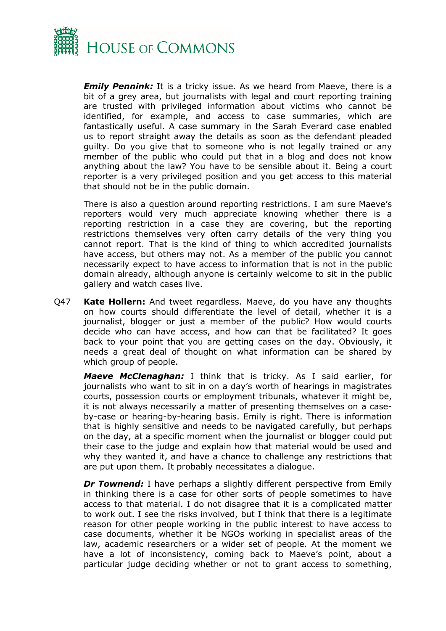

*Emily Pennink:* It is a tricky issue. As we heard from Maeve, there is a bit of a grey area, but journalists with legal and court reporting training are trusted with privileged information about victims who cannot be identified, for example, and access to case summaries, which are fantastically useful. A case summary in the Sarah Everard case enabled us to report straight away the details as soon as the defendant pleaded guilty. Do you give that to someone who is not legally trained or any member of the public who could put that in a blog and does not know anything about the law? You have to be sensible about it. Being a court reporter is a very privileged position and you get access to this material that should not be in the public domain.

There is also a question around reporting restrictions. I am sure Maeve's reporters would very much appreciate knowing whether there is a reporting restriction in a case they are covering, but the reporting restrictions themselves very often carry details of the very thing you cannot report. That is the kind of thing to which accredited journalists have access, but others may not. As a member of the public you cannot necessarily expect to have access to information that is not in the public domain already, although anyone is certainly welcome to sit in the public gallery and watch cases live.

Q47 **Kate Hollern:** And tweet regardless. Maeve, do you have any thoughts on how courts should differentiate the level of detail, whether it is a journalist, blogger or just a member of the public? How would courts decide who can have access, and how can that be facilitated? It goes back to your point that you are getting cases on the day. Obviously, it needs a great deal of thought on what information can be shared by which group of people.

*Maeve McClenaghan:* I think that is tricky. As I said earlier, for journalists who want to sit in on a day's worth of hearings in magistrates courts, possession courts or employment tribunals, whatever it might be, it is not always necessarily a matter of presenting themselves on a caseby-case or hearing-by-hearing basis. Emily is right. There is information that is highly sensitive and needs to be navigated carefully, but perhaps on the day, at a specific moment when the journalist or blogger could put their case to the judge and explain how that material would be used and why they wanted it, and have a chance to challenge any restrictions that are put upon them. It probably necessitates a dialogue.

*Dr Townend:* I have perhaps a slightly different perspective from Emily in thinking there is a case for other sorts of people sometimes to have access to that material. I do not disagree that it is a complicated matter to work out. I see the risks involved, but I think that there is a legitimate reason for other people working in the public interest to have access to case documents, whether it be NGOs working in specialist areas of the law, academic researchers or a wider set of people. At the moment we have a lot of inconsistency, coming back to Maeve's point, about a particular judge deciding whether or not to grant access to something,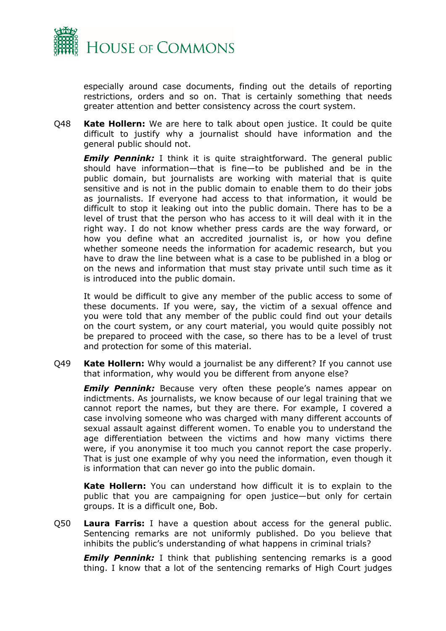

especially around case documents, finding out the details of reporting restrictions, orders and so on. That is certainly something that needs greater attention and better consistency across the court system.

Q48 **Kate Hollern:** We are here to talk about open justice. It could be quite difficult to justify why a journalist should have information and the general public should not.

**Emily Pennink:** I think it is quite straightforward. The general public should have information—that is fine—to be published and be in the public domain, but journalists are working with material that is quite sensitive and is not in the public domain to enable them to do their jobs as journalists. If everyone had access to that information, it would be difficult to stop it leaking out into the public domain. There has to be a level of trust that the person who has access to it will deal with it in the right way. I do not know whether press cards are the way forward, or how you define what an accredited journalist is, or how you define whether someone needs the information for academic research, but you have to draw the line between what is a case to be published in a blog or on the news and information that must stay private until such time as it is introduced into the public domain.

It would be difficult to give any member of the public access to some of these documents. If you were, say, the victim of a sexual offence and you were told that any member of the public could find out your details on the court system, or any court material, you would quite possibly not be prepared to proceed with the case, so there has to be a level of trust and protection for some of this material.

Q49 **Kate Hollern:** Why would a journalist be any different? If you cannot use that information, why would you be different from anyone else?

*Emily Pennink:* Because very often these people's names appear on indictments. As journalists, we know because of our legal training that we cannot report the names, but they are there. For example, I covered a case involving someone who was charged with many different accounts of sexual assault against different women. To enable you to understand the age differentiation between the victims and how many victims there were, if you anonymise it too much you cannot report the case properly. That is just one example of why you need the information, even though it is information that can never go into the public domain.

**Kate Hollern:** You can understand how difficult it is to explain to the public that you are campaigning for open justice—but only for certain groups. It is a difficult one, Bob.

Q50 **Laura Farris:** I have a question about access for the general public. Sentencing remarks are not uniformly published. Do you believe that inhibits the public's understanding of what happens in criminal trials?

**Emily Pennink:** I think that publishing sentencing remarks is a good thing. I know that a lot of the sentencing remarks of High Court judges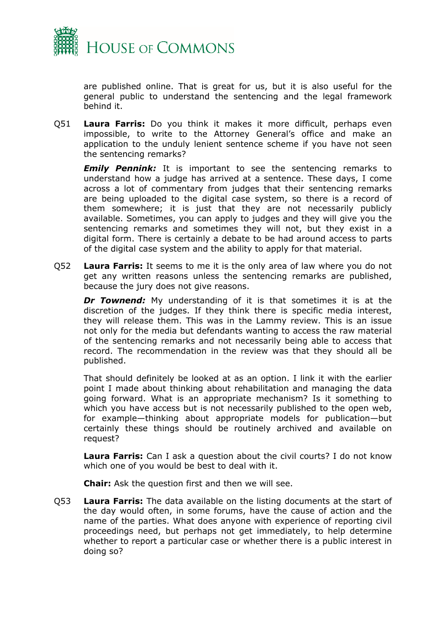

are published online. That is great for us, but it is also useful for the general public to understand the sentencing and the legal framework behind it.

Q51 **Laura Farris:** Do you think it makes it more difficult, perhaps even impossible, to write to the Attorney General's office and make an application to the unduly lenient sentence scheme if you have not seen the sentencing remarks?

*Emily Pennink:* It is important to see the sentencing remarks to understand how a judge has arrived at a sentence. These days, I come across a lot of commentary from judges that their sentencing remarks are being uploaded to the digital case system, so there is a record of them somewhere; it is just that they are not necessarily publicly available. Sometimes, you can apply to judges and they will give you the sentencing remarks and sometimes they will not, but they exist in a digital form. There is certainly a debate to be had around access to parts of the digital case system and the ability to apply for that material.

Q52 **Laura Farris:** It seems to me it is the only area of law where you do not get any written reasons unless the sentencing remarks are published, because the jury does not give reasons.

*Dr Townend:* My understanding of it is that sometimes it is at the discretion of the judges. If they think there is specific media interest, they will release them. This was in the Lammy review. This is an issue not only for the media but defendants wanting to access the raw material of the sentencing remarks and not necessarily being able to access that record. The recommendation in the review was that they should all be published.

That should definitely be looked at as an option. I link it with the earlier point I made about thinking about rehabilitation and managing the data going forward. What is an appropriate mechanism? Is it something to which you have access but is not necessarily published to the open web, for example—thinking about appropriate models for publication—but certainly these things should be routinely archived and available on request?

**Laura Farris:** Can I ask a question about the civil courts? I do not know which one of you would be best to deal with it.

**Chair:** Ask the question first and then we will see.

Q53 **Laura Farris:** The data available on the listing documents at the start of the day would often, in some forums, have the cause of action and the name of the parties. What does anyone with experience of reporting civil proceedings need, but perhaps not get immediately, to help determine whether to report a particular case or whether there is a public interest in doing so?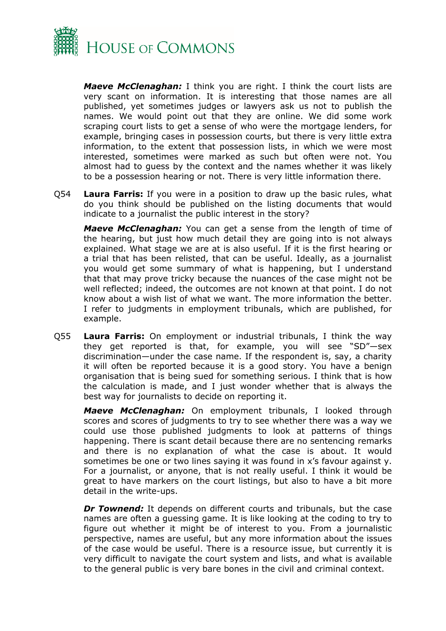

*Maeve McClenaghan:* I think you are right. I think the court lists are very scant on information. It is interesting that those names are all published, yet sometimes judges or lawyers ask us not to publish the names. We would point out that they are online. We did some work scraping court lists to get a sense of who were the mortgage lenders, for example, bringing cases in possession courts, but there is very little extra information, to the extent that possession lists, in which we were most interested, sometimes were marked as such but often were not. You almost had to guess by the context and the names whether it was likely to be a possession hearing or not. There is very little information there.

Q54 **Laura Farris:** If you were in a position to draw up the basic rules, what do you think should be published on the listing documents that would indicate to a journalist the public interest in the story?

*Maeve McClenaghan:* You can get a sense from the length of time of the hearing, but just how much detail they are going into is not always explained. What stage we are at is also useful. If it is the first hearing or a trial that has been relisted, that can be useful. Ideally, as a journalist you would get some summary of what is happening, but I understand that that may prove tricky because the nuances of the case might not be well reflected; indeed, the outcomes are not known at that point. I do not know about a wish list of what we want. The more information the better. I refer to judgments in employment tribunals, which are published, for example.

Q55 **Laura Farris:** On employment or industrial tribunals, I think the way they get reported is that, for example, you will see "SD"—sex discrimination—under the case name. If the respondent is, say, a charity it will often be reported because it is a good story. You have a benign organisation that is being sued for something serious. I think that is how the calculation is made, and I just wonder whether that is always the best way for journalists to decide on reporting it.

*Maeve McClenaghan:* On employment tribunals, I looked through scores and scores of judgments to try to see whether there was a way we could use those published judgments to look at patterns of things happening. There is scant detail because there are no sentencing remarks and there is no explanation of what the case is about. It would sometimes be one or two lines saying it was found in x's favour against y. For a journalist, or anyone, that is not really useful. I think it would be great to have markers on the court listings, but also to have a bit more detail in the write-ups.

*Dr Townend:* It depends on different courts and tribunals, but the case names are often a guessing game. It is like looking at the coding to try to figure out whether it might be of interest to you. From a journalistic perspective, names are useful, but any more information about the issues of the case would be useful. There is a resource issue, but currently it is very difficult to navigate the court system and lists, and what is available to the general public is very bare bones in the civil and criminal context.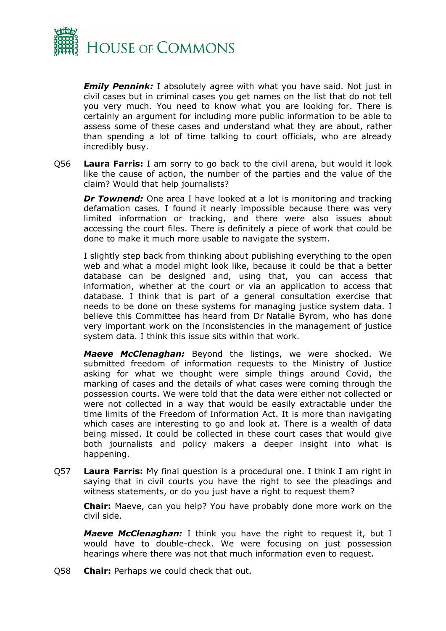

*Emily Pennink:* I absolutely agree with what you have said. Not just in civil cases but in criminal cases you get names on the list that do not tell you very much. You need to know what you are looking for. There is certainly an argument for including more public information to be able to assess some of these cases and understand what they are about, rather than spending a lot of time talking to court officials, who are already incredibly busy.

Q56 **Laura Farris:** I am sorry to go back to the civil arena, but would it look like the cause of action, the number of the parties and the value of the claim? Would that help journalists?

*Dr Townend:* One area I have looked at a lot is monitoring and tracking defamation cases. I found it nearly impossible because there was very limited information or tracking, and there were also issues about accessing the court files. There is definitely a piece of work that could be done to make it much more usable to navigate the system.

I slightly step back from thinking about publishing everything to the open web and what a model might look like, because it could be that a better database can be designed and, using that, you can access that information, whether at the court or via an application to access that database. I think that is part of a general consultation exercise that needs to be done on these systems for managing justice system data. I believe this Committee has heard from Dr Natalie Byrom, who has done very important work on the inconsistencies in the management of justice system data. I think this issue sits within that work.

*Maeve McClenaghan:* Beyond the listings, we were shocked. We submitted freedom of information requests to the Ministry of Justice asking for what we thought were simple things around Covid, the marking of cases and the details of what cases were coming through the possession courts. We were told that the data were either not collected or were not collected in a way that would be easily extractable under the time limits of the Freedom of Information Act. It is more than navigating which cases are interesting to go and look at. There is a wealth of data being missed. It could be collected in these court cases that would give both journalists and policy makers a deeper insight into what is happening.

Q57 **Laura Farris:** My final question is a procedural one. I think I am right in saying that in civil courts you have the right to see the pleadings and witness statements, or do you just have a right to request them?

**Chair:** Maeve, can you help? You have probably done more work on the civil side.

*Maeve McClenaghan:* I think you have the right to request it, but I would have to double-check. We were focusing on just possession hearings where there was not that much information even to request.

Q58 **Chair:** Perhaps we could check that out.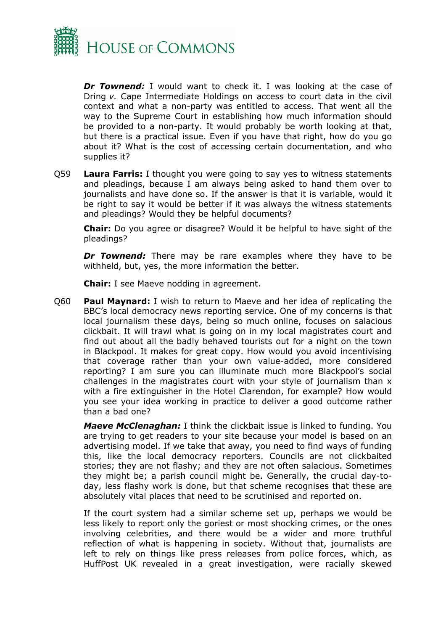

*Dr Townend:* I would want to check it. I was looking at the case of Dring *v.* Cape Intermediate Holdings on access to court data in the civil context and what a non-party was entitled to access. That went all the way to the Supreme Court in establishing how much information should be provided to a non-party. It would probably be worth looking at that, but there is a practical issue. Even if you have that right, how do you go about it? What is the cost of accessing certain documentation, and who supplies it?

Q59 **Laura Farris:** I thought you were going to say yes to witness statements and pleadings, because I am always being asked to hand them over to journalists and have done so. If the answer is that it is variable, would it be right to say it would be better if it was always the witness statements and pleadings? Would they be helpful documents?

**Chair:** Do you agree or disagree? Would it be helpful to have sight of the pleadings?

*Dr Townend:* There may be rare examples where they have to be withheld, but, yes, the more information the better.

**Chair:** I see Maeve nodding in agreement.

Q60 **Paul Maynard:** I wish to return to Maeve and her idea of replicating the BBC's local democracy news reporting service. One of my concerns is that local journalism these days, being so much online, focuses on salacious clickbait. It will trawl what is going on in my local magistrates court and find out about all the badly behaved tourists out for a night on the town in Blackpool. It makes for great copy. How would you avoid incentivising that coverage rather than your own value-added, more considered reporting? I am sure you can illuminate much more Blackpool's social challenges in the magistrates court with your style of journalism than x with a fire extinguisher in the Hotel Clarendon, for example? How would you see your idea working in practice to deliver a good outcome rather than a bad one?

*Maeve McClenaghan:* I think the clickbait issue is linked to funding. You are trying to get readers to your site because your model is based on an advertising model. If we take that away, you need to find ways of funding this, like the local democracy reporters. Councils are not clickbaited stories; they are not flashy; and they are not often salacious. Sometimes they might be; a parish council might be. Generally, the crucial day-today, less flashy work is done, but that scheme recognises that these are absolutely vital places that need to be scrutinised and reported on.

If the court system had a similar scheme set up, perhaps we would be less likely to report only the goriest or most shocking crimes, or the ones involving celebrities, and there would be a wider and more truthful reflection of what is happening in society. Without that, journalists are left to rely on things like press releases from police forces, which, as HuffPost UK revealed in a great investigation, were racially skewed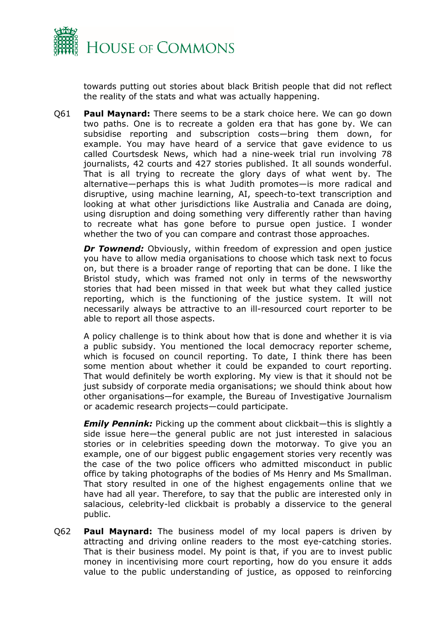

towards putting out stories about black British people that did not reflect the reality of the stats and what was actually happening.

Q61 **Paul Maynard:** There seems to be a stark choice here. We can go down two paths. One is to recreate a golden era that has gone by. We can subsidise reporting and subscription costs—bring them down, for example. You may have heard of a service that gave evidence to us called Courtsdesk News, which had a nine-week trial run involving 78 journalists, 42 courts and 427 stories published. It all sounds wonderful. That is all trying to recreate the glory days of what went by. The alternative—perhaps this is what Judith promotes—is more radical and disruptive, using machine learning, AI, speech-to-text transcription and looking at what other jurisdictions like Australia and Canada are doing, using disruption and doing something very differently rather than having to recreate what has gone before to pursue open justice. I wonder whether the two of you can compare and contrast those approaches.

**Dr Townend:** Obviously, within freedom of expression and open justice you have to allow media organisations to choose which task next to focus on, but there is a broader range of reporting that can be done. I like the Bristol study, which was framed not only in terms of the newsworthy stories that had been missed in that week but what they called justice reporting, which is the functioning of the justice system. It will not necessarily always be attractive to an ill-resourced court reporter to be able to report all those aspects.

A policy challenge is to think about how that is done and whether it is via a public subsidy. You mentioned the local democracy reporter scheme, which is focused on council reporting. To date, I think there has been some mention about whether it could be expanded to court reporting. That would definitely be worth exploring. My view is that it should not be just subsidy of corporate media organisations; we should think about how other organisations—for example, the Bureau of Investigative Journalism or academic research projects—could participate.

*Emily Pennink:* Picking up the comment about clickbait—this is slightly a side issue here—the general public are not just interested in salacious stories or in celebrities speeding down the motorway. To give you an example, one of our biggest public engagement stories very recently was the case of the two police officers who admitted misconduct in public office by taking photographs of the bodies of Ms Henry and Ms Smallman. That story resulted in one of the highest engagements online that we have had all year. Therefore, to say that the public are interested only in salacious, celebrity-led clickbait is probably a disservice to the general public.

Q62 **Paul Maynard:** The business model of my local papers is driven by attracting and driving online readers to the most eye-catching stories. That is their business model. My point is that, if you are to invest public money in incentivising more court reporting, how do you ensure it adds value to the public understanding of justice, as opposed to reinforcing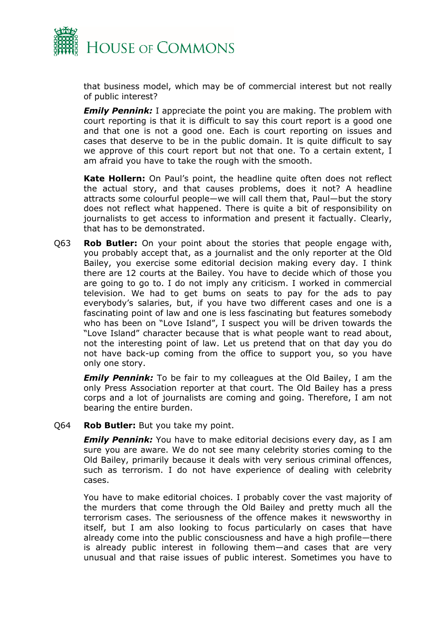

that business model, which may be of commercial interest but not really of public interest?

*Emily Pennink:* I appreciate the point you are making. The problem with court reporting is that it is difficult to say this court report is a good one and that one is not a good one. Each is court reporting on issues and cases that deserve to be in the public domain. It is quite difficult to say we approve of this court report but not that one. To a certain extent, I am afraid you have to take the rough with the smooth.

**Kate Hollern:** On Paul's point, the headline quite often does not reflect the actual story, and that causes problems, does it not? A headline attracts some colourful people—we will call them that, Paul—but the story does not reflect what happened. There is quite a bit of responsibility on journalists to get access to information and present it factually. Clearly, that has to be demonstrated.

Q63 **Rob Butler:** On your point about the stories that people engage with, you probably accept that, as a journalist and the only reporter at the Old Bailey, you exercise some editorial decision making every day. I think there are 12 courts at the Bailey. You have to decide which of those you are going to go to. I do not imply any criticism. I worked in commercial television. We had to get bums on seats to pay for the ads to pay everybody's salaries, but, if you have two different cases and one is a fascinating point of law and one is less fascinating but features somebody who has been on "Love Island", I suspect you will be driven towards the "Love Island" character because that is what people want to read about, not the interesting point of law. Let us pretend that on that day you do not have back-up coming from the office to support you, so you have only one story.

*Emily Pennink:* To be fair to my colleagues at the Old Bailey, I am the only Press Association reporter at that court. The Old Bailey has a press corps and a lot of journalists are coming and going. Therefore, I am not bearing the entire burden.

#### Q64 **Rob Butler:** But you take my point.

*Emily Pennink:* You have to make editorial decisions every day, as I am sure you are aware. We do not see many celebrity stories coming to the Old Bailey, primarily because it deals with very serious criminal offences, such as terrorism. I do not have experience of dealing with celebrity cases.

You have to make editorial choices. I probably cover the vast majority of the murders that come through the Old Bailey and pretty much all the terrorism cases. The seriousness of the offence makes it newsworthy in itself, but I am also looking to focus particularly on cases that have already come into the public consciousness and have a high profile—there is already public interest in following them—and cases that are very unusual and that raise issues of public interest. Sometimes you have to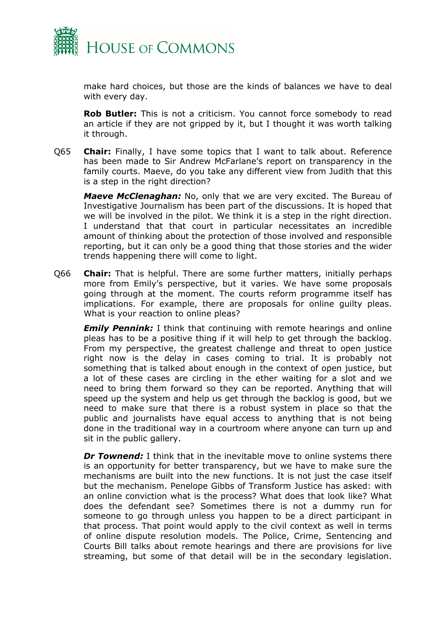

make hard choices, but those are the kinds of balances we have to deal with every day.

**Rob Butler:** This is not a criticism. You cannot force somebody to read an article if they are not gripped by it, but I thought it was worth talking it through.

Q65 **Chair:** Finally, I have some topics that I want to talk about. Reference has been made to Sir Andrew McFarlane's report on transparency in the family courts. Maeve, do you take any different view from Judith that this is a step in the right direction?

*Maeve McClenaghan:* No, only that we are very excited. The Bureau of Investigative Journalism has been part of the discussions. It is hoped that we will be involved in the pilot. We think it is a step in the right direction. I understand that that court in particular necessitates an incredible amount of thinking about the protection of those involved and responsible reporting, but it can only be a good thing that those stories and the wider trends happening there will come to light.

Q66 **Chair:** That is helpful. There are some further matters, initially perhaps more from Emily's perspective, but it varies. We have some proposals going through at the moment. The courts reform programme itself has implications. For example, there are proposals for online guilty pleas. What is your reaction to online pleas?

*Emily Pennink:* I think that continuing with remote hearings and online pleas has to be a positive thing if it will help to get through the backlog. From my perspective, the greatest challenge and threat to open justice right now is the delay in cases coming to trial. It is probably not something that is talked about enough in the context of open justice, but a lot of these cases are circling in the ether waiting for a slot and we need to bring them forward so they can be reported. Anything that will speed up the system and help us get through the backlog is good, but we need to make sure that there is a robust system in place so that the public and journalists have equal access to anything that is not being done in the traditional way in a courtroom where anyone can turn up and sit in the public gallery.

*Dr Townend:* I think that in the inevitable move to online systems there is an opportunity for better transparency, but we have to make sure the mechanisms are built into the new functions. It is not just the case itself but the mechanism. Penelope Gibbs of Transform Justice has asked: with an online conviction what is the process? What does that look like? What does the defendant see? Sometimes there is not a dummy run for someone to go through unless you happen to be a direct participant in that process. That point would apply to the civil context as well in terms of online dispute resolution models. The Police, Crime, Sentencing and Courts Bill talks about remote hearings and there are provisions for live streaming, but some of that detail will be in the secondary legislation.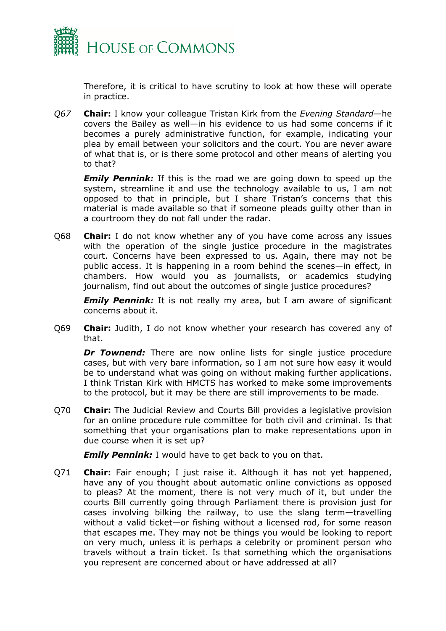

Therefore, it is critical to have scrutiny to look at how these will operate in practice.

*Q67* **Chair:** I know your colleague Tristan Kirk from the *Evening Standard*—he covers the Bailey as well—in his evidence to us had some concerns if it becomes a purely administrative function, for example, indicating your plea by email between your solicitors and the court. You are never aware of what that is, or is there some protocol and other means of alerting you to that?

*Emily Pennink:* If this is the road we are going down to speed up the system, streamline it and use the technology available to us, I am not opposed to that in principle, but I share Tristan's concerns that this material is made available so that if someone pleads guilty other than in a courtroom they do not fall under the radar.

Q68 **Chair:** I do not know whether any of you have come across any issues with the operation of the single justice procedure in the magistrates court. Concerns have been expressed to us. Again, there may not be public access. It is happening in a room behind the scenes—in effect, in chambers. How would you as journalists, or academics studying journalism, find out about the outcomes of single justice procedures?

*Emily Pennink:* It is not really my area, but I am aware of significant concerns about it.

Q69 **Chair:** Judith, I do not know whether your research has covered any of that.

**Dr Townend:** There are now online lists for single justice procedure cases, but with very bare information, so I am not sure how easy it would be to understand what was going on without making further applications. I think Tristan Kirk with HMCTS has worked to make some improvements to the protocol, but it may be there are still improvements to be made.

Q70 **Chair:** The Judicial Review and Courts Bill provides a legislative provision for an online procedure rule committee for both civil and criminal. Is that something that your organisations plan to make representations upon in due course when it is set up?

*Emily Pennink:* I would have to get back to you on that.

Q71 **Chair:** Fair enough; I just raise it. Although it has not yet happened, have any of you thought about automatic online convictions as opposed to pleas? At the moment, there is not very much of it, but under the courts Bill currently going through Parliament there is provision just for cases involving bilking the railway, to use the slang term—travelling without a valid ticket—or fishing without a licensed rod, for some reason that escapes me. They may not be things you would be looking to report on very much, unless it is perhaps a celebrity or prominent person who travels without a train ticket. Is that something which the organisations you represent are concerned about or have addressed at all?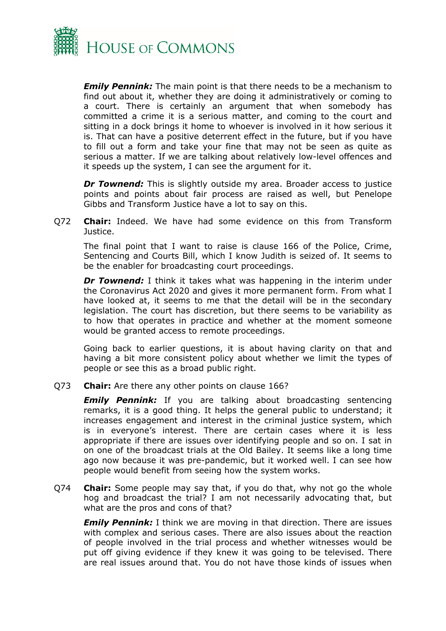

*Emily Pennink:* The main point is that there needs to be a mechanism to find out about it, whether they are doing it administratively or coming to a court. There is certainly an argument that when somebody has committed a crime it is a serious matter, and coming to the court and sitting in a dock brings it home to whoever is involved in it how serious it is. That can have a positive deterrent effect in the future, but if you have to fill out a form and take your fine that may not be seen as quite as serious a matter. If we are talking about relatively low-level offences and it speeds up the system, I can see the argument for it.

**Dr Townend:** This is slightly outside my area. Broader access to justice points and points about fair process are raised as well, but Penelope Gibbs and Transform Justice have a lot to say on this.

Q72 **Chair:** Indeed. We have had some evidence on this from Transform Justice.

The final point that I want to raise is clause 166 of the Police, Crime, Sentencing and Courts Bill, which I know Judith is seized of. It seems to be the enabler for broadcasting court proceedings.

*Dr Townend:* I think it takes what was happening in the interim under the Coronavirus Act 2020 and gives it more permanent form. From what I have looked at, it seems to me that the detail will be in the secondary legislation. The court has discretion, but there seems to be variability as to how that operates in practice and whether at the moment someone would be granted access to remote proceedings.

Going back to earlier questions, it is about having clarity on that and having a bit more consistent policy about whether we limit the types of people or see this as a broad public right.

Q73 **Chair:** Are there any other points on clause 166?

*Emily Pennink:* If you are talking about broadcasting sentencing remarks, it is a good thing. It helps the general public to understand; it increases engagement and interest in the criminal justice system, which is in everyone's interest. There are certain cases where it is less appropriate if there are issues over identifying people and so on. I sat in on one of the broadcast trials at the Old Bailey. It seems like a long time ago now because it was pre-pandemic, but it worked well. I can see how people would benefit from seeing how the system works.

Q74 **Chair:** Some people may say that, if you do that, why not go the whole hog and broadcast the trial? I am not necessarily advocating that, but what are the pros and cons of that?

*Emily Pennink:* I think we are moving in that direction. There are issues with complex and serious cases. There are also issues about the reaction of people involved in the trial process and whether witnesses would be put off giving evidence if they knew it was going to be televised. There are real issues around that. You do not have those kinds of issues when